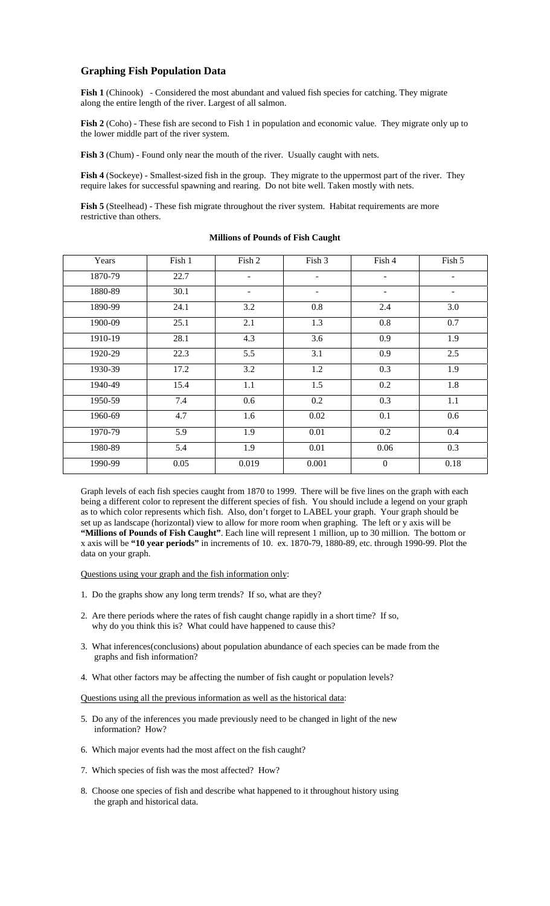## **Graphing Fish Population Data**

**Fish 1** (Chinook) - Considered the most abundant and valued fish species for catching. They migrate along the entire length of the river. Largest of all salmon.

Fish 2 (Coho) - These fish are second to Fish 1 in population and economic value. They migrate only up to the lower middle part of the river system.

Fish 3 (Chum) - Found only near the mouth of the river. Usually caught with nets.

**Fish 4** (Sockeye) - Smallest-sized fish in the group. They migrate to the uppermost part of the river. They require lakes for successful spawning and rearing. Do not bite well. Taken mostly with nets.

**Fish 5** (Steelhead) - These fish migrate throughout the river system. Habitat requirements are more restrictive than others.

| Years   | Fish 1 | Fish 2                   | Fish 3                   | Fish 4                   | Fish 5 |
|---------|--------|--------------------------|--------------------------|--------------------------|--------|
| 1870-79 | 22.7   | $\overline{\phantom{a}}$ | $\overline{\phantom{a}}$ | $\overline{\phantom{a}}$ |        |
| 1880-89 | 30.1   | $\overline{\phantom{a}}$ |                          | $\qquad \qquad -$        |        |
| 1890-99 | 24.1   | 3.2                      | 0.8                      | 2.4                      | 3.0    |
| 1900-09 | 25.1   | 2.1                      | 1.3                      | 0.8                      | 0.7    |
| 1910-19 | 28.1   | 4.3                      | 3.6                      | 0.9                      | 1.9    |
| 1920-29 | 22.3   | 5.5                      | 3.1                      | 0.9                      | 2.5    |
| 1930-39 | 17.2   | 3.2                      | 1.2                      | 0.3                      | 1.9    |
| 1940-49 | 15.4   | 1.1                      | 1.5                      | 0.2                      | 1.8    |
| 1950-59 | 7.4    | 0.6                      | 0.2                      | 0.3                      | 1.1    |
| 1960-69 | 4.7    | 1.6                      | 0.02                     | 0.1                      | 0.6    |
| 1970-79 | 5.9    | 1.9                      | 0.01                     | 0.2                      | 0.4    |
| 1980-89 | 5.4    | 1.9                      | 0.01                     | 0.06                     | 0.3    |
| 1990-99 | 0.05   | 0.019                    | 0.001                    | $\boldsymbol{0}$         | 0.18   |

## **Millions of Pounds of Fish Caught**

Graph levels of each fish species caught from 1870 to 1999. There will be five lines on the graph with each being a different color to represent the different species of fish. You should include a legend on your graph as to which color represents which fish. Also, don't forget to LABEL your graph. Your graph should be set up as landscape (horizontal) view to allow for more room when graphing. The left or y axis will be **"Millions of Pounds of Fish Caught"**. Each line will represent 1 million, up to 30 million. The bottom or x axis will be **"10 year periods"** in increments of 10. ex. 1870-79, 1880-89, etc. through 1990-99. Plot the data on your graph.

Questions using your graph and the fish information only:

- 1. Do the graphs show any long term trends? If so, what are they?
- 2. Are there periods where the rates of fish caught change rapidly in a short time? If so, why do you think this is? What could have happened to cause this?
- 3. What inferences(conclusions) about population abundance of each species can be made from the graphs and fish information?
- 4. What other factors may be affecting the number of fish caught or population levels?

Questions using all the previous information as well as the historical data:

- 5. Do any of the inferences you made previously need to be changed in light of the new information? How?
- 6. Which major events had the most affect on the fish caught?
- 7. Which species of fish was the most affected? How?
- 8. Choose one species of fish and describe what happened to it throughout history using the graph and historical data.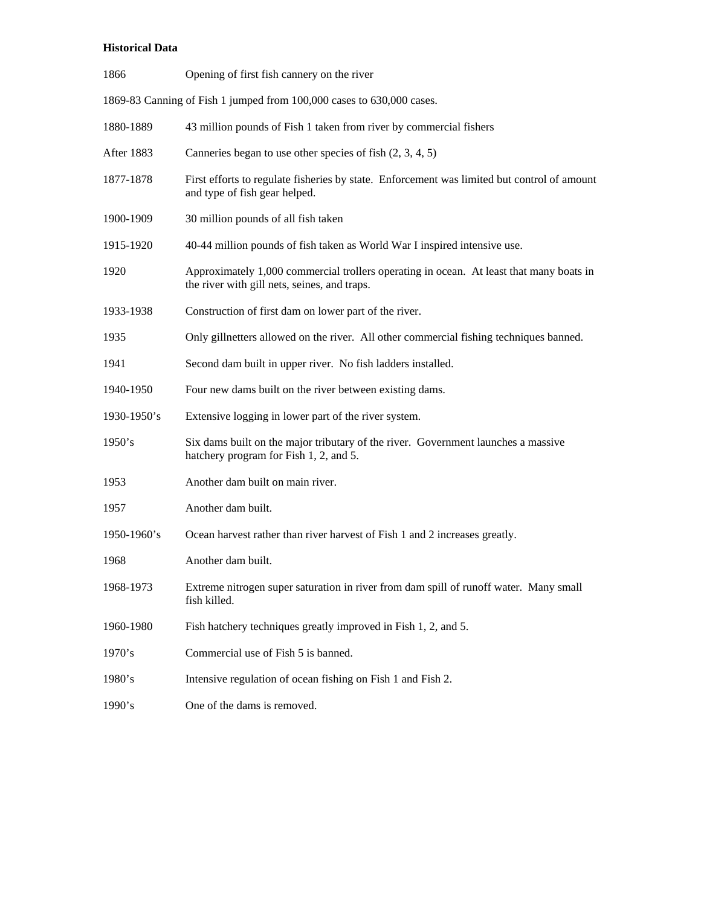## **Historical Data**

| 1866                                                                  | Opening of first fish cannery on the river                                                                                              |  |  |  |
|-----------------------------------------------------------------------|-----------------------------------------------------------------------------------------------------------------------------------------|--|--|--|
| 1869-83 Canning of Fish 1 jumped from 100,000 cases to 630,000 cases. |                                                                                                                                         |  |  |  |
| 1880-1889                                                             | 43 million pounds of Fish 1 taken from river by commercial fishers                                                                      |  |  |  |
| After 1883                                                            | Canneries began to use other species of fish $(2, 3, 4, 5)$                                                                             |  |  |  |
| 1877-1878                                                             | First efforts to regulate fisheries by state. Enforcement was limited but control of amount<br>and type of fish gear helped.            |  |  |  |
| 1900-1909                                                             | 30 million pounds of all fish taken                                                                                                     |  |  |  |
| 1915-1920                                                             | 40-44 million pounds of fish taken as World War I inspired intensive use.                                                               |  |  |  |
| 1920                                                                  | Approximately 1,000 commercial trollers operating in ocean. At least that many boats in<br>the river with gill nets, seines, and traps. |  |  |  |
| 1933-1938                                                             | Construction of first dam on lower part of the river.                                                                                   |  |  |  |
| 1935                                                                  | Only gillnetters allowed on the river. All other commercial fishing techniques banned.                                                  |  |  |  |
| 1941                                                                  | Second dam built in upper river. No fish ladders installed.                                                                             |  |  |  |
| 1940-1950                                                             | Four new dams built on the river between existing dams.                                                                                 |  |  |  |
| $1930 - 1950$ 's                                                      | Extensive logging in lower part of the river system.                                                                                    |  |  |  |
| 1950's                                                                | Six dams built on the major tributary of the river. Government launches a massive<br>hatchery program for Fish 1, 2, and 5.             |  |  |  |
| 1953                                                                  | Another dam built on main river.                                                                                                        |  |  |  |
| 1957                                                                  | Another dam built.                                                                                                                      |  |  |  |
| $1950 - 1960$ 's                                                      | Ocean harvest rather than river harvest of Fish 1 and 2 increases greatly.                                                              |  |  |  |
| 1968                                                                  | Another dam built.                                                                                                                      |  |  |  |
| 1968-1973                                                             | Extreme nitrogen super saturation in river from dam spill of runoff water. Many small<br>fish killed.                                   |  |  |  |
| 1960-1980                                                             | Fish hatchery techniques greatly improved in Fish 1, 2, and 5.                                                                          |  |  |  |
| 1970's                                                                | Commercial use of Fish 5 is banned.                                                                                                     |  |  |  |
| 1980's                                                                | Intensive regulation of ocean fishing on Fish 1 and Fish 2.                                                                             |  |  |  |
| 1990's                                                                | One of the dams is removed.                                                                                                             |  |  |  |